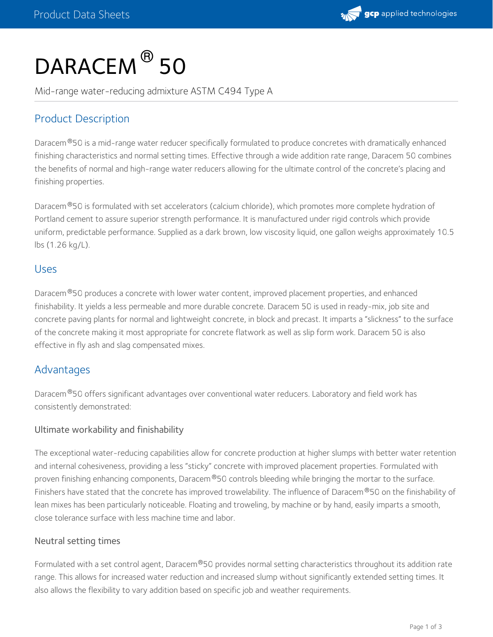

# DARACEM<sup>®</sup> 50

Mid-range water-reducing admixture ASTM C494 Type A

# Product Description

Daracem®50 is a mid-range water reducer specifically formulated to produce concretes with dramatically enhanced finishing characteristics and normal setting times. Effective through a wide addition rate range, Daracem 50 combines the benefits of normal and high-range water reducers allowing for the ultimate control of the concrete's placing and finishing properties.

Daracem<sup>®</sup>50 is formulated with set accelerators (calcium chloride), which promotes more complete hydration of Portland cement to assure superior strength performance. It is manufactured under rigid controls which provide uniform, predictable performance. Supplied as a dark brown, low viscosity liquid, one gallon weighs approximately 10.5 lbs (1.26 kg/L).

#### Uses

Daracem<sup>®</sup>50 produces a concrete with lower water content, improved placement properties, and enhanced finishability. It yields a less permeable and more durable concrete. Daracem 50 is used in ready-mix, job site and concrete paving plants for normal and lightweight concrete, in block and precast. It imparts a "slickness" to the surface of the concrete making it most appropriate for concrete flatwork as well as slip form work. Daracem 50 is also effective in fly ash and slag compensated mixes.

### Advantages

Daracem®50 offers significant advantages over conventional water reducers. Laboratory and field work has consistently demonstrated:

#### Ultimate workability and finishability

The exceptional water-reducing capabilities allow for concrete production at higher slumps with better water retention and internal cohesiveness, providing a less "sticky" concrete with improved placement properties. Formulated with proven finishing enhancing components, Daracem $^\circ$ 50 controls bleeding while bringing the mortar to the surface. Finishers have stated that the concrete has improved trowelability. The influence of Daracem®50 on the finishability of lean mixes has been particularly noticeable. Floating and troweling, by machine or by hand, easily imparts a smooth, close tolerance surface with less machine time and labor.

#### Neutral setting times

Formulated with a set control agent, Daracem®50 provides normal setting characteristics throughout its addition rate range. This allows for increased water reduction and increased slump without significantly extended setting times. It also allows the flexibility to vary addition based on specific job and weather requirements.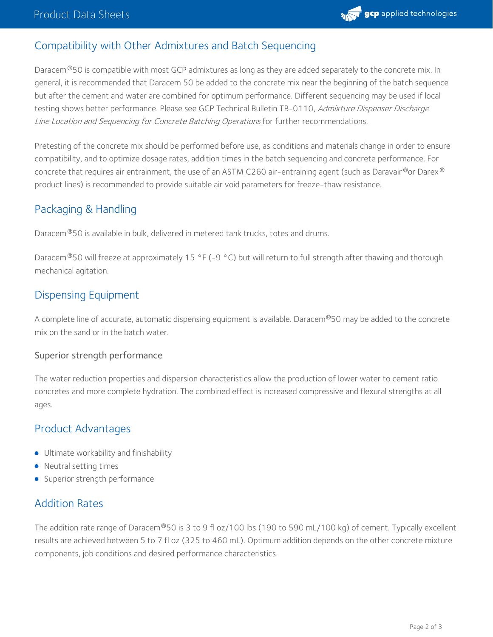

## Compatibility with Other Admixtures and Batch Sequencing

Daracem®50 is compatible with most GCP admixtures as long as they are added separately to the concrete mix. In general, it is recommended that Daracem 50 be added to the concrete mix near the beginning of the batch sequence but after the cement and water are combined for optimum performance. Different sequencing may be used if local testing shows better performance. Please see GCP Technical Bulletin TB-0110, Admixture Dispenser Discharge Line Location and Sequencing for Concrete Batching Operations for further recommendations.

Pretesting of the concrete mix should be performed before use, as conditions and materials change in order to ensure compatibility, and to optimize dosage rates, addition times in the batch sequencing and concrete performance. For concrete that requires air entrainment, the use of an ASTM C260 air-entraining agent (such as Daravair®or Darex® product lines) is recommended to provide suitable air void parameters for freeze-thaw resistance.

# Packaging & Handling

Daracem®50 is available in bulk, delivered in metered tank trucks, totes and drums.

Daracem 50 will freeze at approximately 15 °F (-9 °C) but will return to full strength after thawing and thorough ® mechanical agitation.

## Dispensing Equipment

A complete line of accurate, automatic dispensing equipment is available. Daracem®50 may be added to the concrete mix on the sand or in the batch water.

#### Superior strength performance

The water reduction properties and dispersion characteristics allow the production of lower water to cement ratio concretes and more complete hydration. The combined effect is increased compressive and flexural strengths at all ages.

## Product Advantages

- **•** Ultimate workability and finishability
- Neutral setting times
- **Superior strength performance**

# Addition Rates

The addition rate range of Daracem®50 is 3 to 9 fl oz/100 lbs (190 to 590 mL/100 kg) of cement. Typically excellent results are achieved between 5 to 7 fl oz (325 to 460 mL). Optimum addition depends on the other concrete mixture components, job conditions and desired performance characteristics.